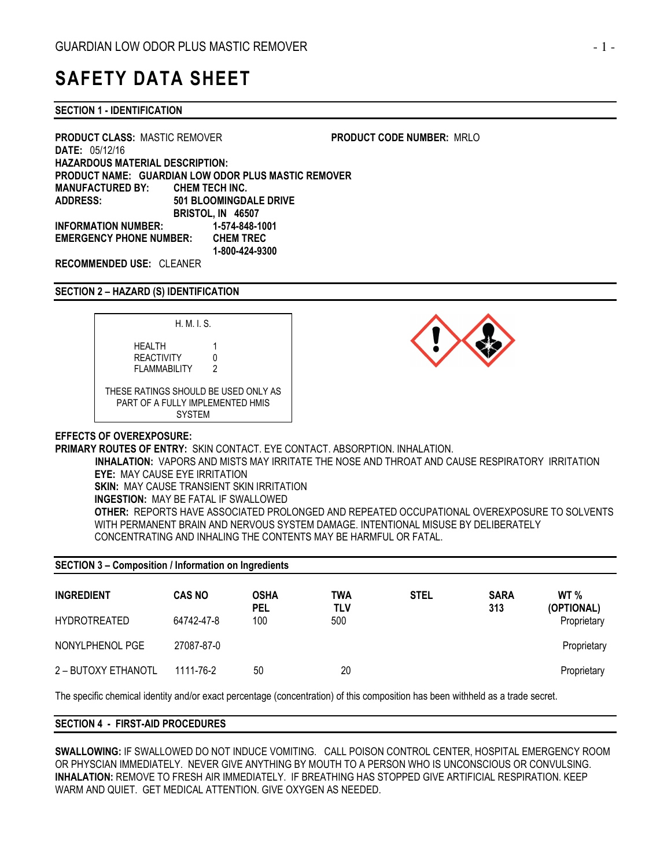# SAFETY DATA SHEET

SECTION 1 - IDENTIFICATION

PRODUCT CLASS: MASTIC REMOVER PRODUCT CODE NUMBER: MRLO DATE: 05/12/16 HAZARDOUS MATERIAL DESCRIPTION: PRODUCT NAME: GUARDIAN LOW ODOR PLUS MASTIC REMOVER MANUFACTURED BY: CHEM TECH INC. ADDRESS: 501 BLOOMINGDALE DRIVE BRISTOL, IN 46507 INFORMATION NUMBER: 1-574-848-1001 EMERGENCY PHONE NUMBER: CHEM TREC 1-800-424-9300

RECOMMENDED USE: CLEANER

#### SECTION 2 – HAZARD (S) IDENTIFICATION





# EFFECTS OF OVEREXPOSURE:

PRIMARY ROUTES OF ENTRY: SKIN CONTACT. EYE CONTACT. ABSORPTION. INHALATION.

 INHALATION: VAPORS AND MISTS MAY IRRITATE THE NOSE AND THROAT AND CAUSE RESPIRATORY IRRITATION EYE: MAY CAUSE EYE IRRITATION **SKIN: MAY CAUSE TRANSIENT SKIN IRRITATION** INGESTION: MAY BE FATAL IF SWALLOWED OTHER: REPORTS HAVE ASSOCIATED PROLONGED AND REPEATED OCCUPATIONAL OVEREXPOSURE TO SOLVENTS WITH PERMANENT BRAIN AND NERVOUS SYSTEM DAMAGE. INTENTIONAL MISUSE BY DELIBERATELY CONCENTRATING AND INHALING THE CONTENTS MAY BE HARMFUL OR FATAL.

| <b>SECTION 3 – Composition / Information on Ingredients</b> |               |                    |            |             |                    |                               |  |
|-------------------------------------------------------------|---------------|--------------------|------------|-------------|--------------------|-------------------------------|--|
| <b>INGREDIENT</b>                                           | <b>CAS NO</b> | OSHA<br><b>PEL</b> | TWA<br>TLV | <b>STEL</b> | <b>SARA</b><br>313 | WT <sub>%</sub><br>(OPTIONAL) |  |
| <b>HYDROTREATED</b>                                         | 64742-47-8    | 100                | 500        |             |                    | Proprietary                   |  |
| NONYLPHENOL PGE                                             | 27087-87-0    |                    |            |             |                    | Proprietary                   |  |
| 2 – BUTOXY ETHANOTL                                         | 1111-76-2     | 50                 | 20         |             |                    | Proprietary                   |  |

The specific chemical identity and/or exact percentage (concentration) of this composition has been withheld as a trade secret.

## SECTION 4 - FIRST-AID PROCEDURES

SWALLOWING: IF SWALLOWED DO NOT INDUCE VOMITING. CALL POISON CONTROL CENTER, HOSPITAL EMERGENCY ROOM OR PHYSCIAN IMMEDIATELY. NEVER GIVE ANYTHING BY MOUTH TO A PERSON WHO IS UNCONSCIOUS OR CONVULSING. INHALATION: REMOVE TO FRESH AIR IMMEDIATELY. IF BREATHING HAS STOPPED GIVE ARTIFICIAL RESPIRATION. KEEP WARM AND QUIET. GET MEDICAL ATTENTION. GIVE OXYGEN AS NEEDED.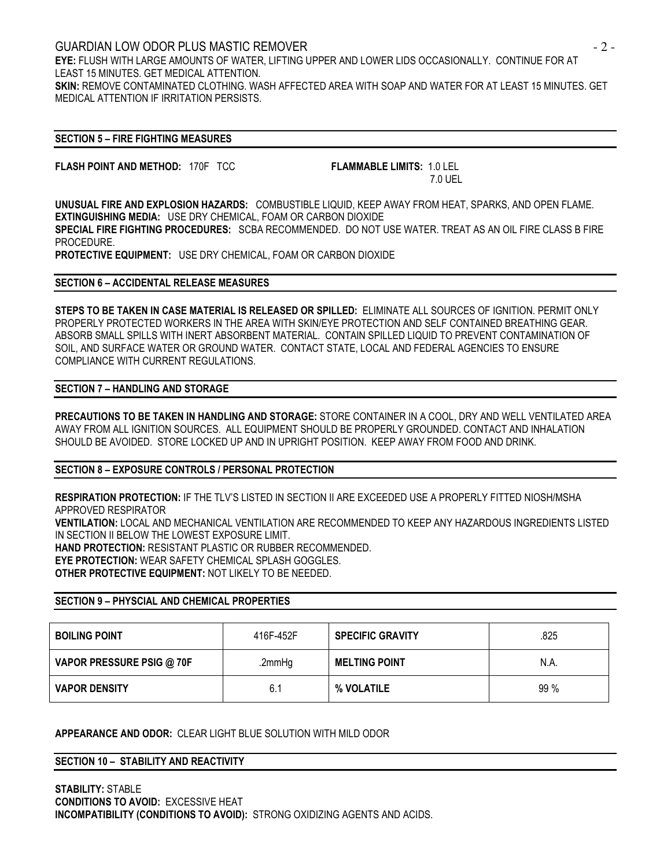GUARDIAN LOW ODOR PLUS MASTIC REMOVER - 2 - EYE: FLUSH WITH LARGE AMOUNTS OF WATER, LIFTING UPPER AND LOWER LIDS OCCASIONALLY. CONTINUE FOR AT LEAST 15 MINUTES. GET MEDICAL ATTENTION. SKIN: REMOVE CONTAMINATED CLOTHING. WASH AFFECTED AREA WITH SOAP AND WATER FOR AT LEAST 15 MINUTES. GET MEDICAL ATTENTION IF IRRITATION PERSISTS.

### SECTION 5 – FIRE FIGHTING MEASURES

FLASH POINT AND METHOD: 170F TCC FLAMMABLE LIMITS: 1.0 LEL

7.0 UEL

UNUSUAL FIRE AND EXPLOSION HAZARDS: COMBUSTIBLE LIQUID, KEEP AWAY FROM HEAT, SPARKS, AND OPEN FLAME. EXTINGUISHING MEDIA: USE DRY CHEMICAL, FOAM OR CARBON DIOXIDE SPECIAL FIRE FIGHTING PROCEDURES: SCBA RECOMMENDED. DO NOT USE WATER. TREAT AS AN OIL FIRE CLASS B FIRE PROCEDURE. PROTECTIVE EQUIPMENT: USE DRY CHEMICAL, FOAM OR CARBON DIOXIDE

#### SECTION 6 – ACCIDENTAL RELEASE MEASURES

STEPS TO BE TAKEN IN CASE MATERIAL IS RELEASED OR SPILLED: ELIMINATE ALL SOURCES OF IGNITION. PERMIT ONLY PROPERLY PROTECTED WORKERS IN THE AREA WITH SKIN/EYE PROTECTION AND SELF CONTAINED BREATHING GEAR. ABSORB SMALL SPILLS WITH INERT ABSORBENT MATERIAL. CONTAIN SPILLED LIQUID TO PREVENT CONTAMINATION OF SOIL, AND SURFACE WATER OR GROUND WATER. CONTACT STATE, LOCAL AND FEDERAL AGENCIES TO ENSURE COMPLIANCE WITH CURRENT REGULATIONS.

#### SECTION 7 – HANDLING AND STORAGE

PRECAUTIONS TO BE TAKEN IN HANDLING AND STORAGE: STORE CONTAINER IN A COOL, DRY AND WELL VENTILATED AREA AWAY FROM ALL IGNITION SOURCES. ALL EQUIPMENT SHOULD BE PROPERLY GROUNDED. CONTACT AND INHALATION SHOULD BE AVOIDED. STORE LOCKED UP AND IN UPRIGHT POSITION. KEEP AWAY FROM FOOD AND DRINK.

# SECTION 8 – EXPOSURE CONTROLS / PERSONAL PROTECTION

RESPIRATION PROTECTION: IF THE TLV'S LISTED IN SECTION II ARE EXCEEDED USE A PROPERLY FITTED NIOSH/MSHA APPROVED RESPIRATOR VENTILATION: LOCAL AND MECHANICAL VENTILATION ARE RECOMMENDED TO KEEP ANY HAZARDOUS INGREDIENTS LISTED IN SECTION II BELOW THE LOWEST EXPOSURE LIMIT. HAND PROTECTION: RESISTANT PLASTIC OR RUBBER RECOMMENDED. EYE PROTECTION: WEAR SAFETY CHEMICAL SPLASH GOGGLES. OTHER PROTECTIVE EQUIPMENT: NOT LIKELY TO BE NEEDED.

#### SECTION 9 – PHYSCIAL AND CHEMICAL PROPERTIES

| <b>BOILING POINT</b>      | 416F-452F | <b>SPECIFIC GRAVITY</b> | .825   |
|---------------------------|-----------|-------------------------|--------|
| VAPOR PRESSURE PSIG @ 70F | .2mmHg    | <b>MELTING POINT</b>    | N.A.   |
| <b>VAPOR DENSITY</b>      | 6.1       | % VOLATILE              | $99\%$ |

## APPEARANCE AND ODOR: CLEAR LIGHT BLUE SOLUTION WITH MILD ODOR

SECTION 10 – STABILITY AND REACTIVITY